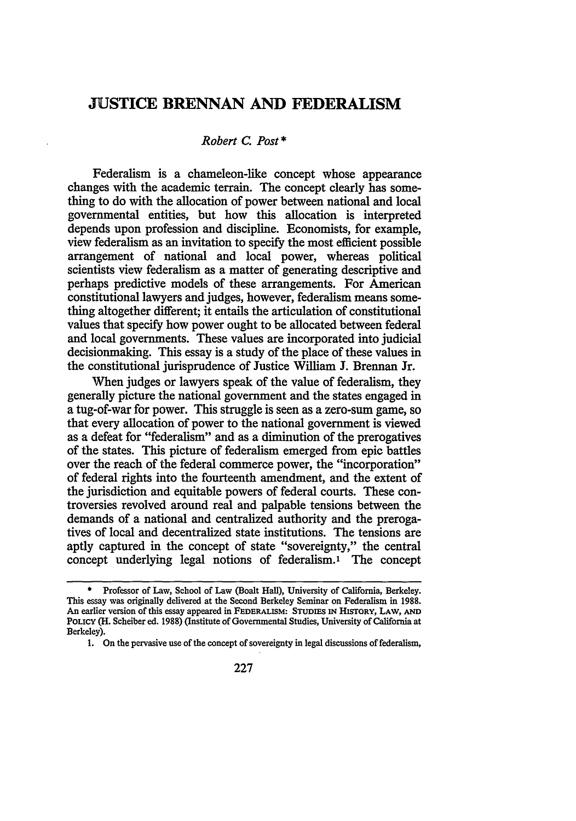## **JUSTICE BRENNAN AND FEDERALISM**

## *Robert C. Post\**

Federalism is a chameleon-like concept whose appearance changes with the academic terrain. The concept clearly has something to do with the allocation of power between national and local governmental entities, but how this allocation is interpreted depends upon profession and discipline. Economists, for example, view federalism as an invitation to specify the most efficient possible arrangement of national and local power, whereas political scientists view federalism as a matter of generating descriptive and perhaps predictive models of these arrangements. For American constitutional lawyers and judges, however, federalism means something altogether different; it entails the articulation of constitutional values that specify how power ought to be allocated between federal and local governments. These values are incorporated into judicial decisionmaking. This essay is a study of the place of these values in the constitutional jurisprudence of Justice William **J.** Brennan Jr.

When judges or lawyers speak of the value of federalism, they generally picture the national government and the states engaged in a tug-of-war for power. This struggle is seen as a zero-sum game, so that every allocation of power to the national government is viewed as a defeat for "federalism" and as a diminution of the prerogatives of the states. This picture of federalism emerged from epic battles over the reach of the federal commerce power, the "incorporation" of federal rights into the fourteenth amendment, and the extent of the jurisdiction and equitable powers of federal courts. These controversies revolved around real and palpable tensions between the demands of a national and centralized authority and the prerogatives of local and decentralized state institutions. The tensions are aptly captured in the concept of state "sovereignty," the central concept underlying legal notions of federalism.1 The concept

**<sup>\*</sup>** Professor of Law, School of Law (Boalt Hall), University of California, Berkeley. This essay was originally delivered at the Second Berkeley Seminar on Federalism in **1988.** An earlier version of this essay appeared in **FEDERALISM: STUDIES IN HISTORY, LAW, AND POLICY** (H. Scheiber ed. **1988)** (Institute of Governmental Studies, University of California at Berkeley).

<sup>1.</sup> On the pervasive use of the concept of sovereignty in legal discussions of federalism,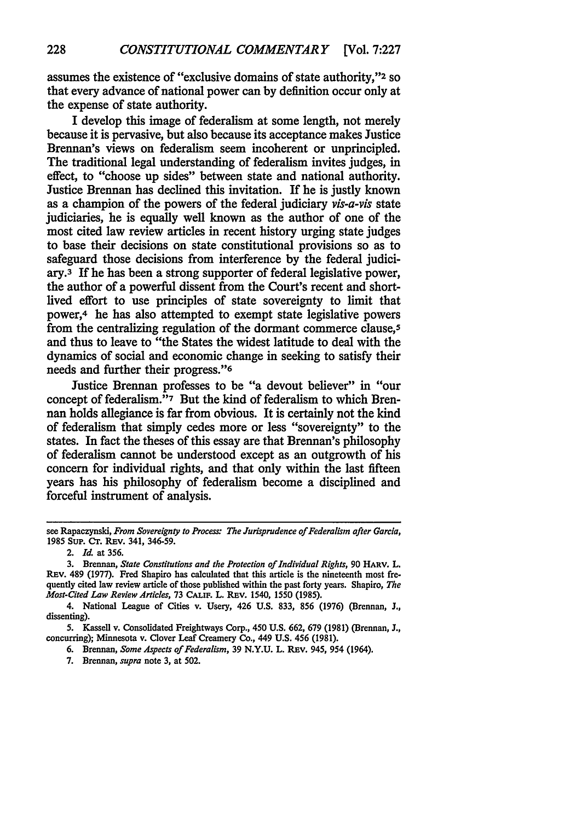assumes the existence of "exclusive domains of state authority,"2 **so** that every advance of national power can by definition occur only at the expense of state authority.

I develop this image of federalism at some length, not merely because it is pervasive, but also because its acceptance makes Justice Brennan's views on federalism seem incoherent or unprincipled. The traditional legal understanding of federalism invites judges, in effect, to "choose up sides" between state and national authority. Justice Brennan has declined this invitation. If he is justly known as a champion of the powers of the federal judiciary *vis-a-vis* state judiciaries, he is equally well known as the author of one of the most cited law review articles in recent history urging state judges to base their decisions on state constitutional provisions so as to safeguard those decisions from interference by the federal judiciary.3 If he has been a strong supporter of federal legislative power, the author of a powerful dissent from the Court's recent and shortlived effort to use principles of state sovereignty to limit that power,4 he has also attempted to exempt state legislative powers from the centralizing regulation of the dormant commerce clause,<sup>5</sup> and thus to leave to "the States the widest latitude to deal with the dynamics of social and economic change in seeking to satisfy their needs and further their progress."<sup>6</sup>

Justice Brennan professes to be "a devout believer" in "our concept of federalism."<sup>7</sup> But the kind of federalism to which Brennan holds allegiance is far from obvious. It is certainly not the kind of federalism that simply cedes more or less "sovereignty" to the states. In fact the theses of this essay are that Brennan's philosophy of federalism cannot be understood except as an outgrowth of his concern for individual rights, and that only within the last fifteen years has his philosophy of federalism become a disciplined and forceful instrument of analysis.

4. National League of Cities v. Usery, 426 **U.S. 833, 856 (1976)** (Brennan, **J.,** dissenting).

5. Kassell v. Consolidated Freightways Corp., **450** U.S. **662, 679** (1981) (Brennan, J., concurring); Minnesota v. Clover Leaf Creamery Co., 449 U.S. 456 (1981).

**6.** Brennan, *Some Aspects of Federalism,* **39 N.Y.U.** L. REv. 945, 954 (1964).

7. Brennan, *supra* note 3, at 502.

see Rapaczynski, *From Sovereignty to Process: The Jurisprudence of Federalism after Garcia,* **1985** Sup. Cr. REv. 341, **346-59.**

<sup>2.</sup> *Id.* at **356.**

**<sup>3.</sup>** Brennan, *State Constitutions and the Protection of Individual Rights,* **90** HARV. L. REv. 489 **(1977).** Fred Shapiro has calculated that this article is the nineteenth most frequently cited law review article of those published within the past forty years. Shapiro, *The Most-Cited Law Review Articles,* **73 CALmF.** L. REV. 1540, **1550 (1985).**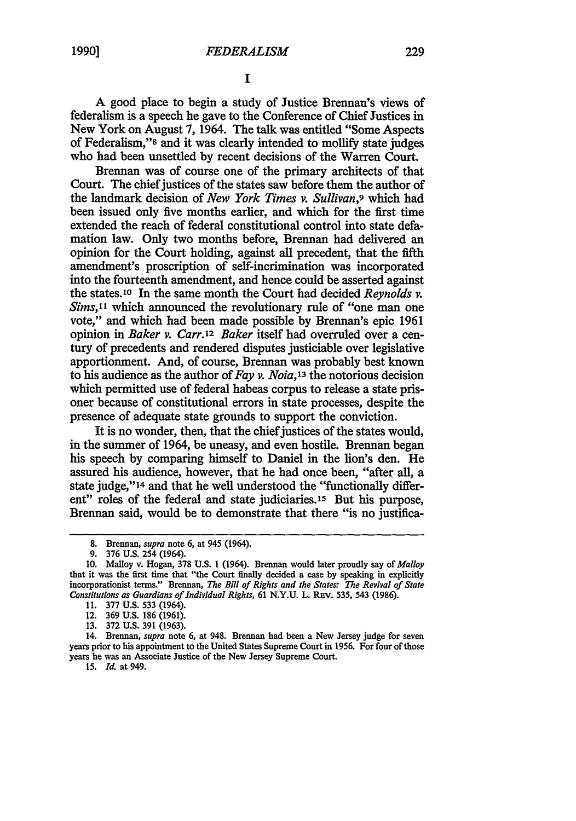A good place to begin a study of Justice Brennan's views of federalism is a speech he gave to the Conference of Chief Justices in New York on August 7, 1964. The talk was entitled "Some Aspects of Federalism,"8 and it was clearly intended to mollify state judges who had been unsettled by recent decisions of the Warren Court.

Brennan was of course one of the primary architects of that Court. The chief justices of the states saw before them the author of the landmark decision of *New York Times v. Sullivan,9* which had been issued only five months earlier, and which for the first time extended the reach of federal constitutional control into state defamation law. Only two months before, Brennan had delivered an opinion for the Court holding, against all precedent, that the fifth amendment's proscription of self-incrimination was incorporated into the fourteenth amendment, and hence could be asserted against the states.10 In the same month the Court had decided *Reynolds v. Sims*,<sup>11</sup> which announced the revolutionary rule of "one man one vote," and which had been made possible by Brennan's epic 1961 opinion in *Baker* v. Carr.12 *Baker* itself had overruled over a century of precedents and rendered disputes justiciable over legislative apportionment. And, of course, Brennan was probably best known to his audience as the author of *Fay v. Noia,'3* the notorious decision which permitted use of federal habeas corpus to release a state prisoner because of constitutional errors in state processes, despite the presence of adequate state grounds to support the conviction.

It is no wonder, then, that the chief justices of the states would, in the summer of 1964, be uneasy, and even hostile. Brennan began his speech by comparing himself to Daniel in the lion's den. He assured his audience, however, that he had once been, "after all, a state judge," **14** and that he well understood the "functionally different" roles of the federal and state judiciaries.15 But his purpose, Brennan said, would be to demonstrate that there "is no justifica-

**15. Id.** at 949.

**<sup>8.</sup>** Brennan, *supra* note 6, at 945 (1964).

<sup>9. 376</sup> U.S. 254 (1964).

**<sup>10.</sup>** Malloy v. Hogan, 378 U.S. **1** (1964). Brennan would later proudly say *of Malloy* that it was the first time that "the Court finally decided a case by speaking in explicitly incorporationist terms." Brennan, *The Bill of Rights and the States: The Revival of State Constitutions* as *Guardians of Individual Rights,* 61 N.Y.U. L. REv. 535, 543 (1986).

<sup>11. 377</sup> **U.s.** 533 (1964).

<sup>12. 369</sup> **U.S.** 186 (1961).

<sup>13. 372</sup> U.S. 391 (1963).

<sup>14.</sup> Brennan, *supra* note 6, at 948. Brennan had been a New Jersey judge for seven years prior to his appointment to the United States Supreme Court in 1956. For four of those years he was an Associate Justice of the New Jersey Supreme Court.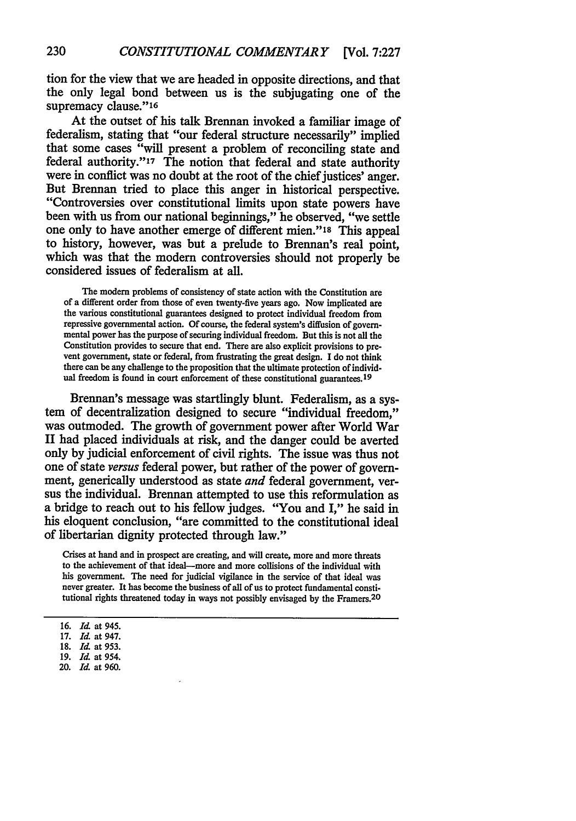tion for the view that we are headed in opposite directions, and that the only legal bond between us is the subjugating one of the supremacy clause."16

At the outset of his talk Brennan invoked a familiar image of federalism, stating that "our federal structure necessarily" implied that some cases "will present a problem of reconciling state and federal authority."17 The notion that federal and state authority were in conflict was no doubt at the root of the chief justices' anger. But Brennan tried to place this anger in historical perspective. "Controversies over constitutional limits upon state powers have been with us from our national beginnings," he observed, "we settle one only to have another emerge of different mien."18 This appeal to history, however, was but a prelude to Brennan's real point, which was that the modern controversies should not properly be considered issues of federalism at all.

The modern problems of consistency of state action with the Constitution are of a different order from those of even twenty-five years ago. Now implicated are the various constitutional guarantees designed to protect individual freedom from repressive governmental action. **Of** course, the federal system's diffusion of governmental power has the purpose of securing individual freedom. But this is not all the Constitution provides to secure that end. There are also explicit provisions to prevent government, state or federal, from frustrating the great design. **I** do not think there can be any challenge to the proposition that the ultimate protection of individual freedom is found in court enforcement of these constitutional guarantees.<sup>19</sup>

Brennan's message was startlingly blunt. Federalism, as a system of decentralization designed to secure "individual freedom," was outmoded. The growth of government power after World War II had placed individuals at risk, and the danger could be averted only **by** judicial enforcement of civil rights. The issue was thus not one of state *versus* federal power, but rather of the power of government, generically understood as state *and* federal government, versus the individual. Brennan attempted to use this reformulation as a bridge to reach out to his fellow judges. "You and I," he said in his eloquent conclusion, "are committed to the constitutional ideal of libertarian dignity protected through law."

Crises at hand and in prospect are creating, and will create, more and more threats to the achievement of that ideal-more and more collisions of the individual with his government. The need for judicial vigilance in the service of that ideal was never greater. It has become the business of all of us to protect fundamental constitutional rights threatened today in ways not possibly envisaged **by** the Framers.<sup>2</sup> <sup>0</sup>

20. *Id.* at **960.**

**<sup>16.</sup> Id** at 945.

**<sup>17.</sup>** *Id.* at 947.

**<sup>18.</sup> Id** at **953. 19.** *Id* at 954.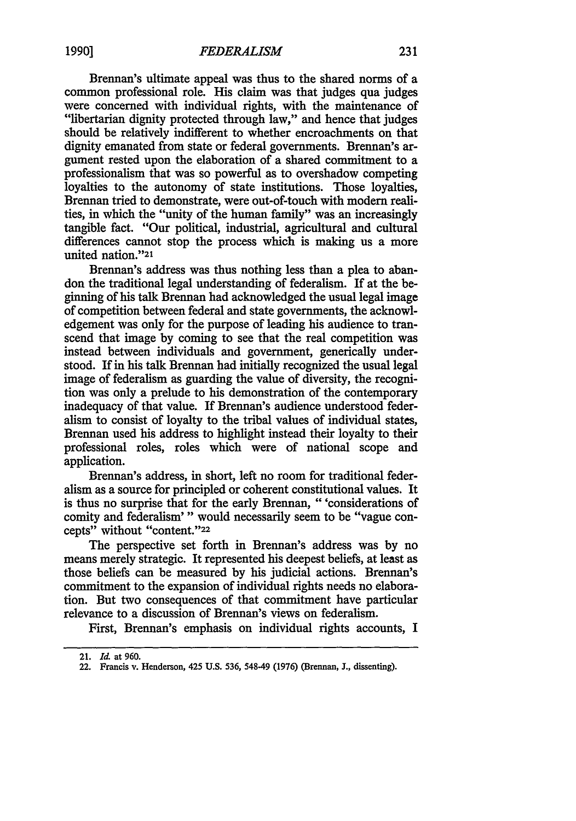Brennan's ultimate appeal was thus to the shared norms of a common professional role. His claim was that judges qua judges were concerned with individual rights, with the maintenance of "libertarian dignity protected through law," and hence that judges should be relatively indifferent to whether encroachments on that dignity emanated from state or federal governments. Brennan's argument rested upon the elaboration of a shared commitment to a professionalism that was so powerful as to overshadow competing loyalties to the autonomy of state institutions. Those loyalties, Brennan tried to demonstrate, were out-of-touch with modem realities, in which the "unity of the human family" was an increasingly tangible fact. "Our political, industrial, agricultural and cultural differences cannot stop the process which is making us a more united nation."21

Brennan's address was thus nothing less than a plea to abandon the traditional legal understanding of federalism. If at the beginning of his talk Brennan had acknowledged the usual legal image of competition between federal and state governments, the acknowledgement was only for the purpose of leading his audience to transcend that image by coming to see that the real competition was instead between individuals and government, generically understood. If in his talk Brennan had initially recognized the usual legal image of federalism as guarding the value of diversity, the recognition was only a prelude to his demonstration of the contemporary inadequacy of that value. If Brennan's audience understood federalism to consist of loyalty to the tribal values of individual states, Brennan used his address to highlight instead their loyalty to their professional roles, roles which were of national scope and application.

Brennan's address, in short, left no room for traditional federalism as a source for principled or coherent constitutional values. It is thus no surprise that for the early Brennan, "'considerations of comity and federalism'" would necessarily seem to be "vague concepts" without "content."22

The perspective set forth in Brennan's address was by no means merely strategic. It represented his deepest beliefs, at least as those beliefs can be measured by his judicial actions. Brennan's commitment to the expansion of individual rights needs no elaboration. But two consequences of that commitment have particular relevance to a discussion of Brennan's views on federalism.

First, Brennan's emphasis on individual rights accounts, I

<sup>21.</sup> *Id.* at 960.

<sup>22.</sup> Francis v. Henderson, 425 U.S. 536, 548-49 (1976) (Brennan, J., dissenting).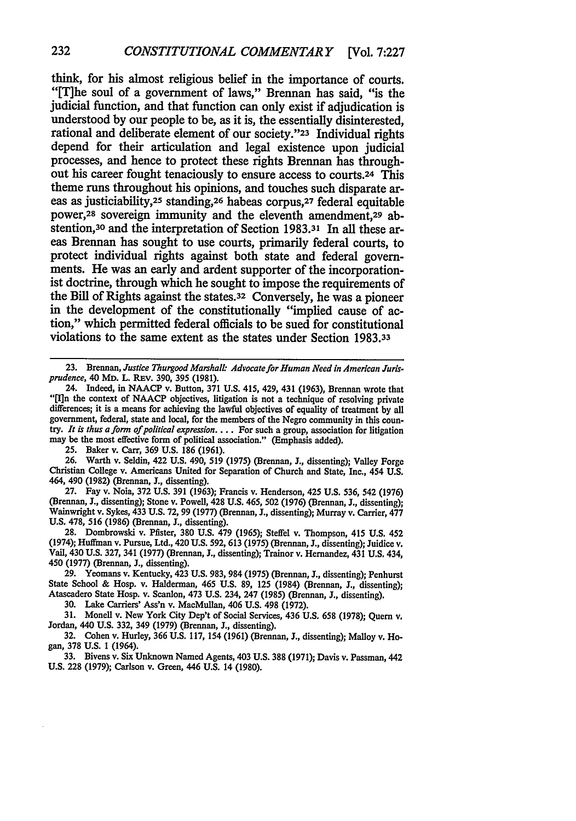think, for his almost religious belief in the importance of courts. "[T]he soul of a government of laws," Brennan has said, "is the judicial function, and that function can only exist if adjudication is understood **by** our people to be, as it is, the essentially disinterested, rational and deliberate element of our society."23 Individual rights depend for their articulation and legal existence upon judicial processes, and hence to protect these rights Brennan has throughout his career fought tenaciously to ensure access to courts.24 This theme runs throughout his opinions, and touches such disparate areas as justiciability,25 **standing,26** habeas corpus,27 federal equitable power, 28 sovereign immunity and the eleventh amendment,29 abstention,30 and the interpretation of Section **1983.31** In all these areas Brennan has sought to use courts, primarily federal courts, to protect individual rights against both state and federal governments. He was an early and ardent supporter of the incorporation**ist** doctrine, through which he sought to impose the requirements of the **Bill** of Rights against the states.32 Conversely, he was a pioneer in the development of the constitutionally "implied cause of action," which permitted federal officials to be sued for constitutional violations to the same extent as the states under Section **1983.33**

25. Baker v. Carr, 369 U.S. 186 (1961).

26. Warth v. Seldin, 422 **U.S.** 490, 519 (1975) (Brennan, *J.,* dissenting); Valley Forge Christian College v. Americans United for Separation of Church and State, Inc., 454 **U.S.** 464, 490 (1982) (Brennan, 3., dissenting).

27. Fay v. Noia, 372 **U.S.** 391 (1963); Francis v. Henderson, 425 **U.S.** 536, 542 (1976) (Brennan, *J.,* dissenting); Stone v. Powell, 428 **U.S.** 465, 502 (1976) (Brennan, J., dissenting); Wainwright v. Sykes, 433 **U.S.** 72, 99 (1977) (Brennan, J., dissenting); Murray v. Carrier, **477 U.S.** 478, 516 (1986) (Brennan, *3.,* dissenting).

**28.** Dombrowski v. Pfister, 380 U.S. 479 (1965); Steffel v. Thompson, 415 **U.S.** 452 (1974); Huffman v. Pursue, Ltd., 420 U.S. 592, 613 (1975) (Brennan, **J.,** dissenting); Juidice v. Vail, 430 **U.S.** 327, 341 (1977) (Brennan, **J.,** dissenting); Trainor v. Hernandez, 431 **U.S.** 434, 450 (1977) (Brennan, J., dissenting).

**29.** Yeomans v. Kentucky, 423 **U.S.** 983, 984 (1975) (Brennan, *J.,* dissenting); Penhurst State School **&** Hosp. v. Halderman, 465 **U.S.** 89, 125 (1984) (Brennan, *J.,* dissenting); Atascadero State Hosp. v. Scanlon, 473 **U.S.** 234, 247 (1985) (Brennan, **J.,** dissenting).

30. Lake Carriers' Ass'n v. MacMullan, 406 U.S. 498 (1972).

31. Monell v. New York City Dep't of Social Services, 436 **U.S.** 658 (1978); Quern v. Jordan, 440 **U.S.** 332, 349 (1979) (Brennan, J., dissenting).

32. Cohen v. Hurley, **366 U.S.** 117, 154 (1961) (Brennan, **J.,** dissenting); Malloy v. Hogan, 378 **U.S.** 1 (1964).

33. Bivens v. Six Unknown Named Agents, 403 **U.S. 388** (1971); Davis v. Passman, 442 **U.S.** 228 (1979); Carlson v. Green, 446 **U.S.** 14 (1980).

<sup>23.</sup> Brennan, *Justice Thurgood Marshall- Advocate for Human Need in American Jurisprudence*, 40 MD. L. REV. 390, 395 (1981).

<sup>24.</sup> Indeed, in NAACP v. Button, 371 U.S. 415, 429, 431 (1963), Brennan wrote that "[I]n the context of **NAACP** objectives, litigation is not a technique of resolving private differences; it is a means for achieving the lawful objectives of equality of treatment **by** all government, federal, state and local, for the members of the Negro community in this coun- try. *It is thus a form of political expression....* For such a group, association for litigation may be the most effective form of political association." (Emphasis added).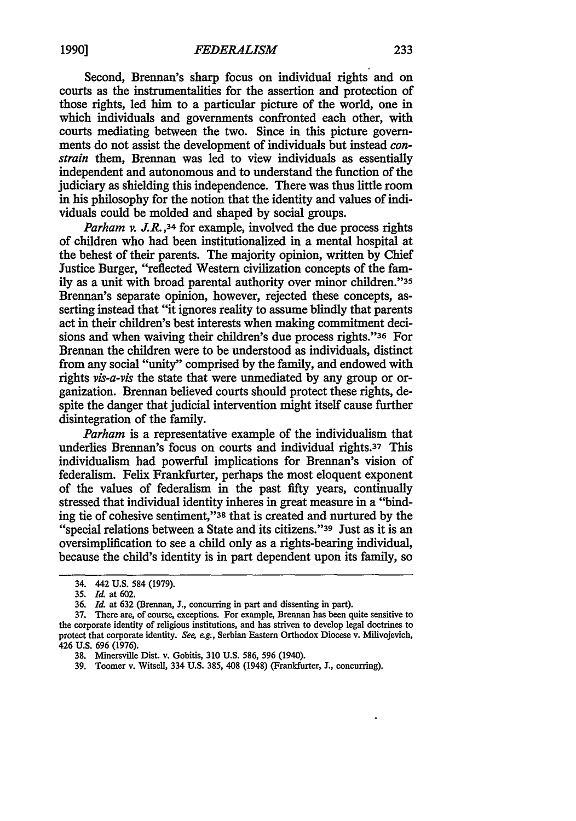Second, Brennan's sharp focus on individual rights and on courts as the instrumentalities for the assertion and protection of those rights, led him to a particular picture of the world, one in which individuals and governments confronted each other, with courts mediating between the two. Since in this picture governments do not assist the development of individuals but instead *constrain* them, Brennan was led to view individuals as essentially independent and autonomous and to understand the function of the judiciary as shielding this independence. There was thus little room in his philosophy for the notion that the identity and values of individuals could be molded and shaped by social groups.

*Parham v. J.R.*,<sup>34</sup> for example, involved the due process rights of children who had been institutionalized in a mental hospital at the behest of their parents. The majority opinion, written by Chief Justice Burger, "reflected Western civilization concepts of the family as a unit with broad parental authority over minor children."35 Brennan's separate opinion, however, rejected these concepts, asserting instead that "it ignores reality to assume blindly that parents act in their children's best interests when making commitment decisions and when waiving their children's due process rights."36 For Brennan the children were to be understood as individuals, distinct from any social "unity" comprised by the family, and endowed with rights *vis-a-vis* the state that were unmediated by any group or organization. Brennan believed courts should protect these rights, despite the danger that judicial intervention might itself cause further disintegration of the family.

*Parham* is a representative example of the individualism that underlies Brennan's focus on courts and individual rights.37 This individualism had powerful implications for Brennan's vision of federalism. Felix Frankfurter, perhaps the most eloquent exponent of the values of federalism in the past fifty years, continually stressed that individual identity inheres in great measure in a "binding tie of cohesive sentiment,"38 that is created and nurtured by the "special relations between a State and its citizens."39 Just as it is an oversimplification to see a child only as a rights-bearing individual, because the child's identity is in part dependent upon its family, so

<sup>34. 442</sup> **U.S.** 584 **(1979).**

**<sup>35.</sup>** *Id.* at **602.**

**<sup>36.</sup>** *Id.* at **632** (Brennan, **J.,** concurring in part and dissenting in part).

**<sup>37.</sup>** There are, of course, exceptions. For example, Brennan has been quite sensitive to the corporate identity of religious institutions, and has striven to develop legal doctrines to protect that corporate identity. *See, eg.,* Serbian Eastern Orthodox Diocese v. Milivojevich, 426 **U.S.** 696 **(1976).**

**<sup>38.</sup>** Minersville Dist. v. Gobitis, **310 U.S.** 586, 596 (1940).

**<sup>39.</sup>** Toomer v. Witsell, 334 **U.S.** 385, 408 (1948) (Frankfurter, **J.,** concurring).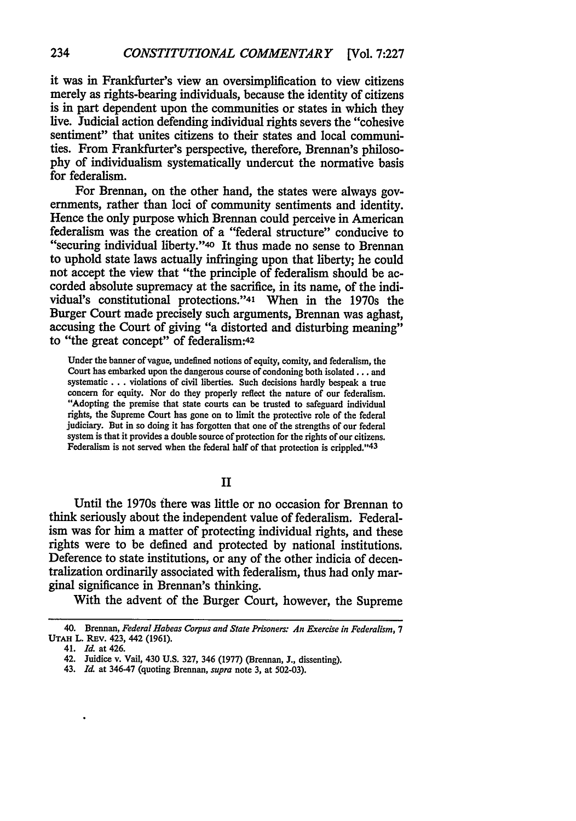it was in Frankfurter's view an oversimplification to view citizens merely as rights-bearing individuals, because the identity of citizens is in part dependent upon the communities or states in which they live. Judicial action defending individual rights severs the "cohesive sentiment" that unites citizens to their states and local communities. From Frankfurter's perspective, therefore, Brennan's philosophy of individualism systematically undercut the normative basis for federalism.

For Brennan, on the other hand, the states were always governments, rather than loci of community sentiments and identity. Hence the only purpose which Brennan could perceive in American federalism was the creation of a "federal structure" conducive to "securing individual liberty."40 It thus made no sense to Brennan to uphold state laws actually infringing upon that liberty; he could not accept the view that "the principle of federalism should be accorded absolute supremacy at the sacrifice, in its name, of the individual's constitutional protections."41 When in the 1970s the Burger Court made precisely such arguments, Brennan was aghast, accusing the Court of giving "a distorted and disturbing meaning" to "the great concept" of federalism:42

Under the banner of vague, undefined notions of equity, comity, and federalism, the Court has embarked upon the dangerous course of condoning both isolated... and systematic... violations of civil liberties. Such decisions hardly bespeak a true concern for equity. Nor do they properly reflect the nature of our federalism. "Adopting the premise that state courts can be trusted to safeguard individual rights, the Supreme Court has gone on to limit the protective role of the federal judiciary. But in so doing it has forgotten that one of the strengths of our federal system is that it provides a double source of protection for the rights of our citizens. Federalism is not served when the federal half of that protection is crippled."<sup>43</sup>

## II

Until the 1970s there was little or no occasion for Brennan to think seriously about the independent value of federalism. Federalism was for him a matter of protecting individual rights, and these rights were to be defined and protected by national institutions. Deference to state institutions, or any of the other indicia of decentralization ordinarily associated with federalism, thus had only marginal significance in Brennan's thinking.

With the advent of the Burger Court, however, the Supreme

<sup>40.</sup> Brennan, *Federal Habeas Corpus and State Prisoners: An Exercise in Federalism, 7* **UTAH** L. REv. 423, 442 (1961).

<sup>41.</sup> *Id.* at 426.

<sup>42.</sup> Juidice v. Vail, 430 **U.S.** 327, 346 (1977) (Brennan, J., dissenting).

<sup>43.</sup> *Id* at 346-47 (quoting Brennan, *supra* note 3, at 502-03).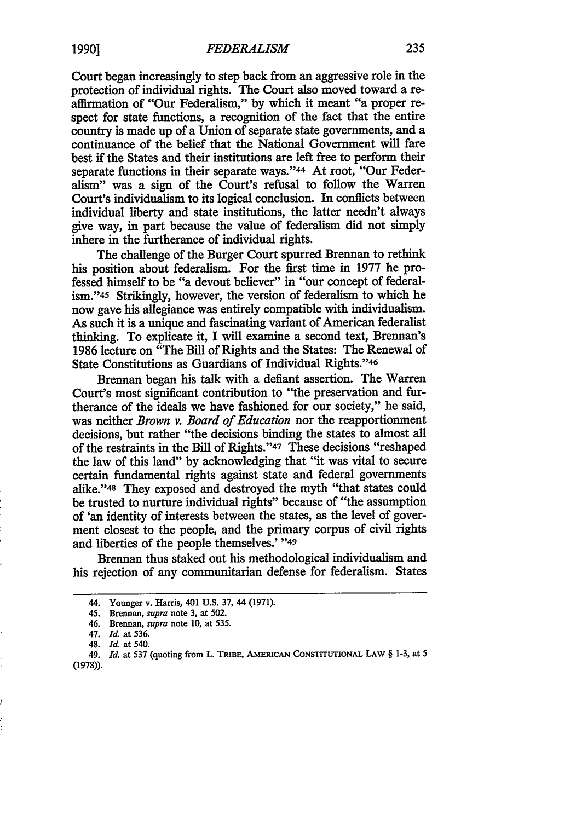Court began increasingly to step back from an aggressive role in the protection of individual rights. The Court also moved toward a reaffirmation of "Our Federalism," by which it meant "a proper respect for state functions, a recognition of the fact that the entire country is made up of a Union of separate state governments, and a continuance of the belief that the National Government will fare best if the States and their institutions are left free to perform their separate functions in their separate ways."<sup>44</sup> At root, "Our Federalism" was a sign of the Court's refusal to follow the Warren Court's individualism to its logical conclusion. In conflicts between individual liberty and state institutions, the latter needn't always give way, in part because the value of federalism did not simply inhere in the furtherance of individual rights.

The challenge of the Burger Court spurred Brennan to rethink his position about federalism. For the first time in 1977 he professed himself to be "a devout believer" in "our concept of federalism."45 Strikingly, however, the version of federalism to which he now gave his allegiance was entirely compatible with individualism. As such it is a unique and fascinating variant of American federalist thinking. To explicate it, I will examine a second text, Brennan's 1986 lecture on "The Bill of Rights and the States: The Renewal of State Constitutions as Guardians of Individual Rights."46

Brennan began his talk with a defiant assertion. The Warren Court's most significant contribution to "the preservation and furtherance of the ideals we have fashioned for our society," he said, was neither *Brown v. Board of Education* nor the reapportionment decisions, but rather "the decisions binding the states to almost all of the restraints in the Bill of Rights."47 These decisions "reshaped the law of this land" by acknowledging that "it was vital to secure certain fundamental rights against state and federal governments alike."48 They exposed and destroyed the myth "that states could be trusted to nurture individual rights" because of "the assumption of 'an identity of interests between the states, as the level of goverment closest to the people, and the primary corpus of civil rights and liberties of the people themselves.' **"49**

Brennan thus staked out his methodological individualism and his rejection of any communitarian defense for federalism. States

<sup>44.</sup> Younger v. Harris, 401 U.S. 37, 44 (1971).

<sup>45.</sup> Brennan, *supra* note 3, at 502.

<sup>46.</sup> Brennan, *supra* note 10, at **535.**

<sup>47.</sup> *Id.* at 536.

<sup>48.</sup> *Id.* at 540.

<sup>49.</sup> *Id.* at **537** (quoting from L. **TRIBE, AMERICAN CONSTITUTIONAL LAW** § **1-3,** at **5** (1978)).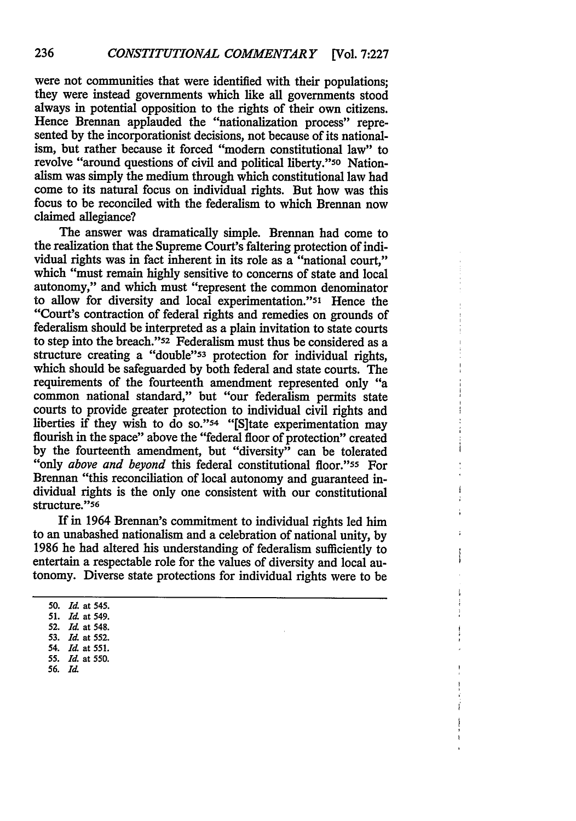were not communities that were identified with their populations; they were instead governments which like all governments stood always in potential opposition to the rights of their own citizens. Hence Brennan applauded the "nationalization process" represented by the incorporationist decisions, not because of its nationalism, but rather because it forced "modern constitutional law" to revolve "around questions of civil and political liberty."50 Nationalism was simply the medium through which constitutional law had come to its natural focus on individual rights. But how was this focus to be reconciled with the federalism to which Brennan now claimed allegiance?

The answer was dramatically simple. Brennan had come to the realization that the Supreme Court's faltering protection of individual rights was in fact inherent in its role as a "national court," which "must remain highly sensitive to concerns of state and local autonomy," and which must "represent the common denominator to allow for diversity and local experimentation."51 Hence the "Court's contraction of federal rights and remedies on grounds of federalism should be interpreted as a plain invitation to state courts to step into the breach."52 Federalism must thus be considered as a structure creating a "double"53 protection for individual rights, which should be safeguarded by both federal and state courts. The requirements of the fourteenth amendment represented only "a common national standard," but "our federalism permits state courts to provide greater protection to individual civil rights and liberties if they wish to do so."<sup>54</sup> "[S]tate experimentation may flourish in the space" above the "federal floor of protection" created by the fourteenth amendment, but "diversity" can be tolerated "only *above and beyond* this federal constitutional floor."ss For Brennan "this reconciliation of local autonomy and guaranteed individual rights is the only one consistent with our constitutional structure."56

If in 1964 Brennan's commitment to individual rights led him to an unabashed nationalism and a celebration of national unity, by 1986 he had altered his understanding of federalism sufficiently to entertain a respectable role for the values of diversity and local autonomy. Diverse state protections for individual rights were to be

**56.** *Id*

**<sup>50.</sup>** *Id.* at 545.

**<sup>51.</sup>** *Id.* at 549.

**<sup>52.</sup>** *Id* at 548.

**<sup>53.</sup>** *Id* at 552.

<sup>54.</sup> *Id* at **551.**

**<sup>55.</sup>** *Id.* at 550.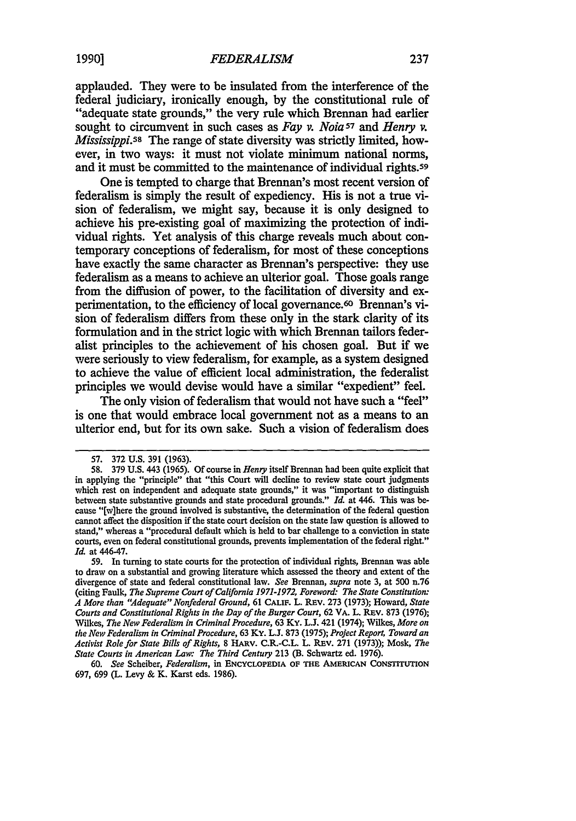applauded. They were to be insulated from the interference of the federal judiciary, ironically enough, by the constitutional rule of "adequate state grounds," the very rule which Brennan had earlier sought to circumvent in such cases as *Fay v. Noia57 and Henry v. Mississippi.S8* The range of state diversity was strictly limited, however, **in** two ways: it must not violate minimum national norms, and it must be committed to the maintenance of individual rights.<sup>59</sup>

One is tempted to charge that Brennan's most recent version of federalism is simply the result of expediency. **His** is not a true vision of federalism, we might say, because it is only designed to achieve his pre-existing goal of maximizing the protection of individual rights. Yet analysis of this charge reveals much about contemporary conceptions of federalism, for most of these conceptions have exactly the same character as Brennan's perspective: they use federalism as a means to achieve an ulterior goal. Those goals range from the diffusion of power, to the facilitation of diversity and experimentation, to the efficiency of local governance.60 Brennan's vision of federalism differs from these only in the stark clarity of its formulation and in the strict logic with which Brennan tailors federalist principles to the achievement of his chosen goal. But if we were seriously to view federalism, for example, as a system designed to achieve the value of efficient local administration, the federalist principles we would devise would have a similar "expedient" feel.

The only vision of federalism that would not have such a "feel" is one that would embrace local government not as a means to an ulterior end, but for its own sake. Such a vision of federalism does

**59.** In turning to state courts for the protection of individual rights, Brennan was able to draw on a substantial and growing literature which assessed the theory and extent of the divergence of state and federal constitutional law. *See* Brennan, *supra* note 3, at 500 n.76 (citing Faulk, *The Supreme Court of California 1971-1972, Foreword: The State Constitution: A More than "Adequate" Nonfederal Ground,* 61 CALIF. L. REv. **273** (1973); Howard, *State Courts and Constitutional Rights in the Day of the Burger Court,* **62 VA.** L. REv. **873** (1976); Wilkes, *The New Federalism in Criminal Procedure,* 63 Ky. L.J. 421 (1974); Wilkes, *More on the New Federalism in Criminal Procedure,* **63** KY. **L.J.** 873 (1975); *Project Report, Toward an Activist Role for State Bills of Rights,* 8 HARV. C.R.-C.L. L. REV. **271** (1973)); Mosk, *The State Courts in American Law: The Third Century* 213 (B. Schwartz ed. 1976).

60. *See* Scheiber, *Federalism,* in **ENCYCLOPEDIA** OF **THE** AMERICAN **CONSTITUTION** 697, 699 (L. Levy & K. Karst eds. 1986).

<sup>57. 372</sup> **U.S.** 391 (1963).

**<sup>58. 379</sup> U.S.** 443 (1965). Of course in *Henry* itself Brennan had been quite explicit that in applying the "principle" that "this Court will decline to review state court judgments which rest on independent and adequate state grounds," it was "important to distinguish between state substantive grounds and state procedural grounds." *Id.* at 446. This was because "[w]here the ground involved is substantive, the determination of the federal question cannot affect the disposition if the state court decision on the state law question is allowed to stand," whereas a "procedural default which is held to bar challenge to a conviction in state courts, even on federal constitutional grounds, prevents implementation of the federal right." *Id.* at 446-47.